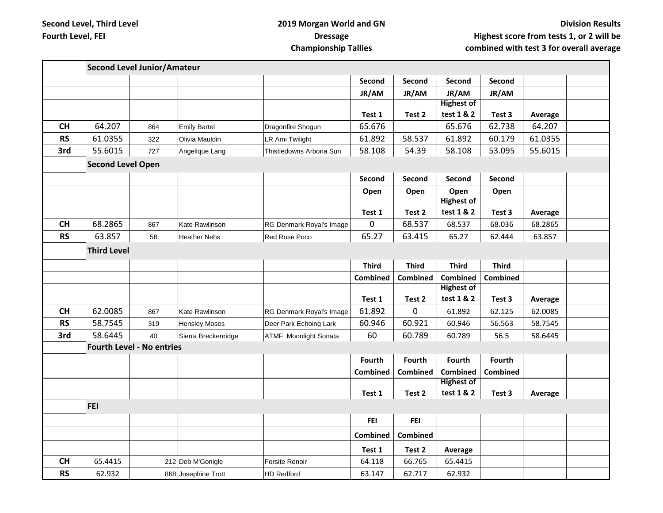## **2019 Morgan World and GN Dressage Championship Tallies**

| <b>Second Level Junior/Amateur</b> |                    |     |                      |                              |                 |              |                   |                 |         |  |
|------------------------------------|--------------------|-----|----------------------|------------------------------|-----------------|--------------|-------------------|-----------------|---------|--|
|                                    |                    |     |                      |                              | Second          | Second       | Second            | Second          |         |  |
|                                    |                    |     |                      |                              | JR/AM           | JR/AM        | JR/AM             | JR/AM           |         |  |
|                                    |                    |     |                      |                              |                 |              | <b>Highest of</b> |                 |         |  |
|                                    |                    |     |                      |                              | Test 1          | Test 2       | test 1 & 2        | Test 3          | Average |  |
| <b>CH</b>                          | 64.207             | 864 | Emily Bartel         | Dragonfire Shogun            | 65.676          |              | 65.676            | 62.738          | 64.207  |  |
| <b>RS</b>                          | 61.0355            | 322 | Olivia Mauldin       | LR Ami Twilight              | 61.892          | 58.537       | 61.892            | 60.179          | 61.0355 |  |
| 3rd                                | 55.6015            | 727 | Angelique Lang       | Thistledowns Arboria Sun     | 58.108          | 54.39        | 58.108            | 53.095          | 55.6015 |  |
| <b>Second Level Open</b>           |                    |     |                      |                              |                 |              |                   |                 |         |  |
|                                    |                    |     |                      |                              | Second          | Second       | Second            | Second          |         |  |
|                                    |                    |     |                      |                              | Open            | Open         | Open              | Open            |         |  |
|                                    |                    |     |                      |                              |                 |              | <b>Highest of</b> |                 |         |  |
|                                    |                    |     |                      |                              | Test 1          | Test 2       | test 1 & 2        | Test 3          | Average |  |
| CH                                 | 68.2865            | 867 | Kate Rawlinson       | RG Denmark Royal's Image     | 0               | 68.537       | 68.537            | 68.036          | 68.2865 |  |
| <b>RS</b>                          | 63.857             | 58  | <b>Heather Nehs</b>  | Red Rose Poco                | 65.27           | 63.415       | 65.27             | 62.444          | 63.857  |  |
|                                    | <b>Third Level</b> |     |                      |                              |                 |              |                   |                 |         |  |
|                                    |                    |     |                      |                              | <b>Third</b>    | <b>Third</b> | <b>Third</b>      | <b>Third</b>    |         |  |
|                                    |                    |     |                      |                              | Combined        | Combined     | <b>Combined</b>   | <b>Combined</b> |         |  |
|                                    |                    |     |                      |                              |                 |              | <b>Highest of</b> |                 |         |  |
|                                    |                    |     |                      |                              | Test 1          | Test 2       | test 1 & 2        | Test 3          | Average |  |
| CH                                 | 62.0085            | 867 | Kate Rawlinson       | RG Denmark Royal's Image     | 61.892          | 0            | 61.892            | 62.125          | 62.0085 |  |
| <b>RS</b>                          | 58.7545            | 319 | <b>Hensley Moses</b> | Deer Park Echoing Lark       | 60.946          | 60.921       | 60.946            | 56.563          | 58.7545 |  |
| 3rd                                | 58.6445            | 40  | Sierra Breckenridge  | <b>ATMF</b> Moonlight Sonata | 60              | 60.789       | 60.789            | 56.5            | 58.6445 |  |
| <b>Fourth Level - No entries</b>   |                    |     |                      |                              |                 |              |                   |                 |         |  |
|                                    |                    |     |                      |                              | Fourth          | Fourth       | Fourth            | Fourth          |         |  |
|                                    |                    |     |                      |                              | <b>Combined</b> | Combined     | <b>Combined</b>   | <b>Combined</b> |         |  |
|                                    |                    |     |                      |                              |                 |              | <b>Highest of</b> |                 |         |  |
|                                    |                    |     |                      |                              | Test 1          | Test 2       | test 1 & 2        | Test 3          | Average |  |
|                                    | <b>FEI</b>         |     |                      |                              |                 |              |                   |                 |         |  |
|                                    |                    |     |                      |                              | <b>FEI</b>      | <b>FEI</b>   |                   |                 |         |  |
|                                    |                    |     |                      |                              | Combined        | Combined     |                   |                 |         |  |
|                                    |                    |     |                      |                              | Test 1          | Test 2       | Average           |                 |         |  |
| <b>CH</b>                          | 65.4415            |     | 212 Deb M'Gonigle    | <b>Forsite Renoir</b>        | 64.118          | 66.765       | 65.4415           |                 |         |  |
| <b>RS</b>                          | 62.932             |     | 868 Josephine Trott  | <b>HD Redford</b>            | 63.147          | 62.717       | 62.932            |                 |         |  |